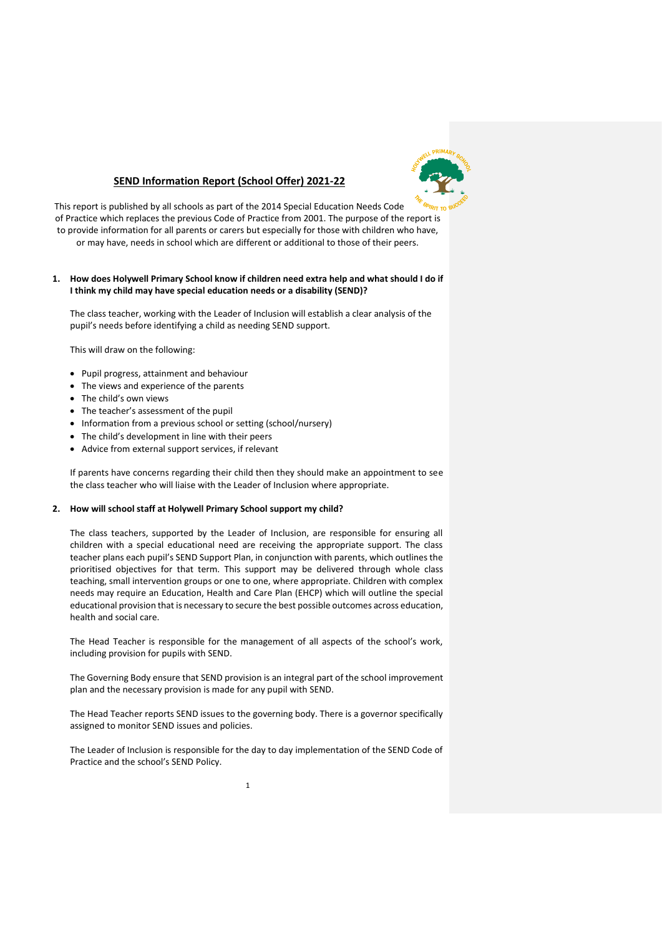

# **SEND Information Report (School Offer) 2021-22**

This report is published by all schools as part of the 2014 Special Education Needs Code of Practice which replaces the previous Code of Practice from 2001. The purpose of the report is to provide information for all parents or carers but especially for those with children who have, or may have, needs in school which are different or additional to those of their peers.

# **1. How does Holywell Primary School know if children need extra help and what should I do if I think my child may have special education needs or a disability (SEND)?**

The class teacher, working with the Leader of Inclusion will establish a clear analysis of the pupil's needs before identifying a child as needing SEND support.

This will draw on the following:

- Pupil progress, attainment and behaviour
- The views and experience of the parents
- The child's own views
- The teacher's assessment of the pupil
- Information from a previous school or setting (school/nursery)
- The child's development in line with their peers
- Advice from external support services, if relevant

If parents have concerns regarding their child then they should make an appointment to see the class teacher who will liaise with the Leader of Inclusion where appropriate.

## **2. How will school staff at Holywell Primary School support my child?**

The class teachers, supported by the Leader of Inclusion, are responsible for ensuring all children with a special educational need are receiving the appropriate support. The class teacher plans each pupil's SEND Support Plan, in conjunction with parents, which outlines the prioritised objectives for that term. This support may be delivered through whole class teaching, small intervention groups or one to one, where appropriate. Children with complex needs may require an Education, Health and Care Plan (EHCP) which will outline the special educational provision that is necessary to secure the best possible outcomes across education, health and social care.

The Head Teacher is responsible for the management of all aspects of the school's work, including provision for pupils with SEND.

The Governing Body ensure that SEND provision is an integral part of the school improvement plan and the necessary provision is made for any pupil with SEND.

The Head Teacher reports SEND issues to the governing body. There is a governor specifically assigned to monitor SEND issues and policies.

The Leader of Inclusion is responsible for the day to day implementation of the SEND Code of Practice and the school's SEND Policy.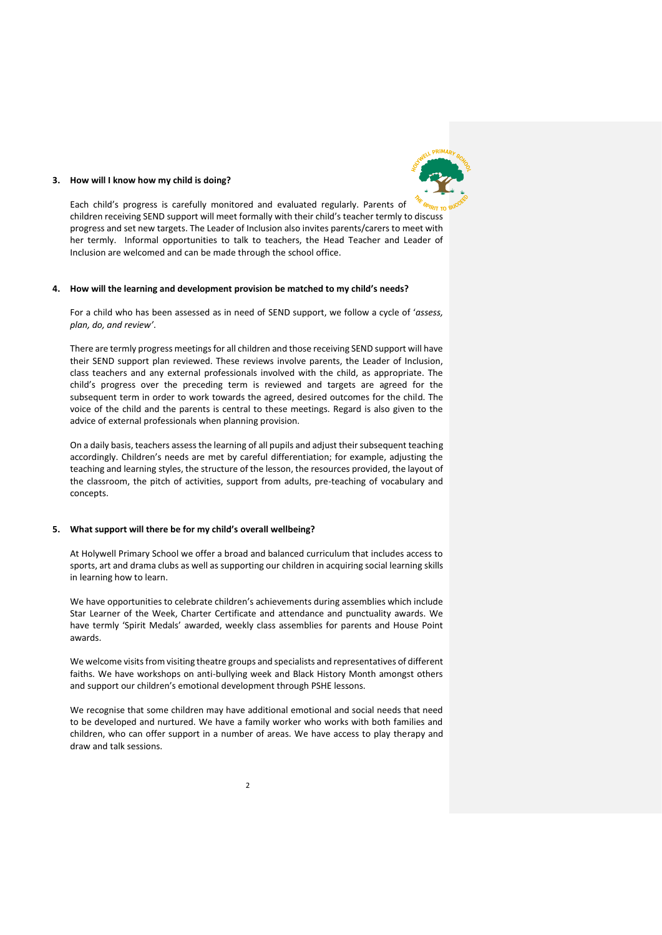

#### **3. How will I know how my child is doing?**

Each child's progress is carefully monitored and evaluated regularly. Parents of children receiving SEND support will meet formally with their child's teacher termly to discuss progress and set new targets. The Leader of Inclusion also invites parents/carers to meet with her termly. Informal opportunities to talk to teachers, the Head Teacher and Leader of Inclusion are welcomed and can be made through the school office.

#### **4. How will the learning and development provision be matched to my child's needs?**

For a child who has been assessed as in need of SEND support, we follow a cycle of '*assess, plan, do, and review'*.

There are termly progress meetings for all children and those receiving SEND support will have their SEND support plan reviewed. These reviews involve parents, the Leader of Inclusion, class teachers and any external professionals involved with the child, as appropriate. The child's progress over the preceding term is reviewed and targets are agreed for the subsequent term in order to work towards the agreed, desired outcomes for the child. The voice of the child and the parents is central to these meetings. Regard is also given to the advice of external professionals when planning provision.

On a daily basis, teachers assess the learning of all pupils and adjust their subsequent teaching accordingly. Children's needs are met by careful differentiation; for example, adjusting the teaching and learning styles, the structure of the lesson, the resources provided, the layout of the classroom, the pitch of activities, support from adults, pre-teaching of vocabulary and concepts.

# **5. What support will there be for my child's overall wellbeing?**

At Holywell Primary School we offer a broad and balanced curriculum that includes access to sports, art and drama clubs as well as supporting our children in acquiring social learning skills in learning how to learn.

We have opportunities to celebrate children's achievements during assemblies which include Star Learner of the Week, Charter Certificate and attendance and punctuality awards. We have termly 'Spirit Medals' awarded, weekly class assemblies for parents and House Point awards.

We welcome visits from visiting theatre groups and specialists and representatives of different faiths. We have workshops on anti-bullying week and Black History Month amongst others and support our children's emotional development through PSHE lessons.

We recognise that some children may have additional emotional and social needs that need to be developed and nurtured. We have a family worker who works with both families and children, who can offer support in a number of areas. We have access to play therapy and draw and talk sessions.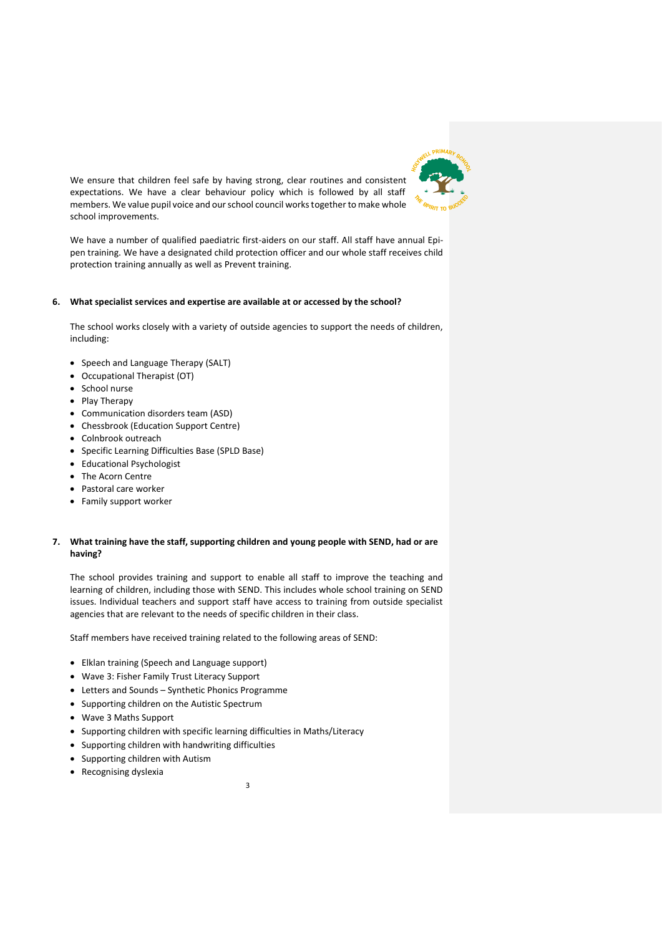

We ensure that children feel safe by having strong, clear routines and consistent expectations. We have a clear behaviour policy which is followed by all staff members. We value pupil voice and our school council works together to make whole school improvements.

We have a number of qualified paediatric first-aiders on our staff. All staff have annual Epipen training. We have a designated child protection officer and our whole staff receives child protection training annually as well as Prevent training.

## **6. What specialist services and expertise are available at or accessed by the school?**

The school works closely with a variety of outside agencies to support the needs of children, including:

- Speech and Language Therapy (SALT)
- Occupational Therapist (OT)
- School nurse
- Play Therapy
- Communication disorders team (ASD)
- Chessbrook (Education Support Centre)
- Colnbrook outreach
- Specific Learning Difficulties Base (SPLD Base)
- Educational Psychologist
- The Acorn Centre
- Pastoral care worker
- Family support worker

# **7. What training have the staff, supporting children and young people with SEND, had or are having?**

The school provides training and support to enable all staff to improve the teaching and learning of children, including those with SEND. This includes whole school training on SEND issues. Individual teachers and support staff have access to training from outside specialist agencies that are relevant to the needs of specific children in their class.

Staff members have received training related to the following areas of SEND:

- Elklan training (Speech and Language support)
- Wave 3: Fisher Family Trust Literacy Support
- Letters and Sounds Synthetic Phonics Programme
- Supporting children on the Autistic Spectrum
- Wave 3 Maths Support
- Supporting children with specific learning difficulties in Maths/Literacy
- Supporting children with handwriting difficulties
- Supporting children with Autism
- Recognising dyslexia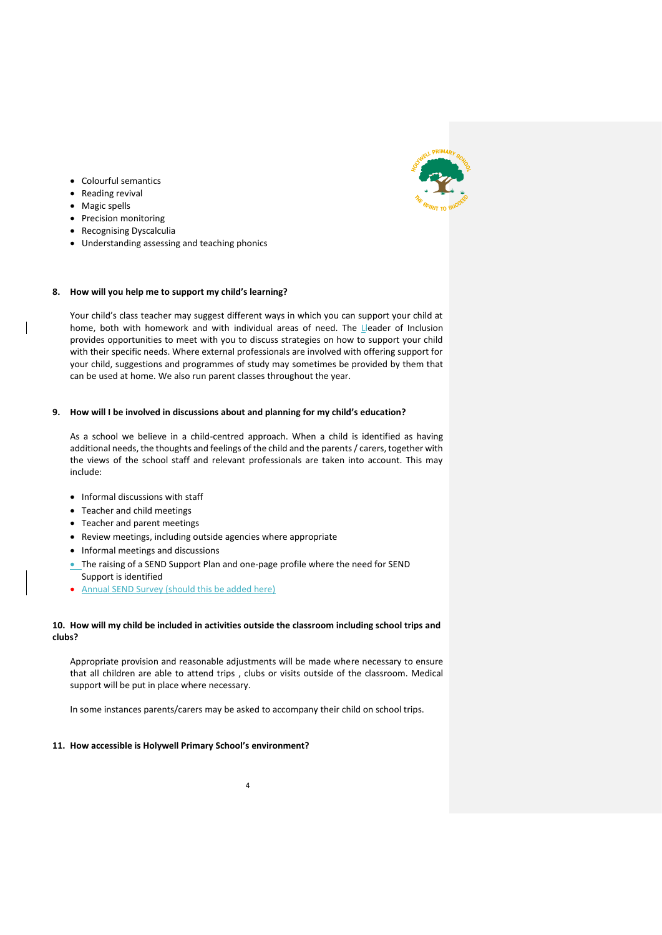

- Colourful semantics
- Reading revival
- Magic spells
- Precision monitoring
- Recognising Dyscalculia
- Understanding assessing and teaching phonics

## **8. How will you help me to support my child's learning?**

Your child's class teacher may suggest different ways in which you can support your child at home, both with homework and with individual areas of need. The Lleader of Inclusion provides opportunities to meet with you to discuss strategies on how to support your child with their specific needs. Where external professionals are involved with offering support for your child, suggestions and programmes of study may sometimes be provided by them that can be used at home. We also run parent classes throughout the year.

## **9. How will I be involved in discussions about and planning for my child's education?**

As a school we believe in a child-centred approach. When a child is identified as having additional needs, the thoughts and feelings of the child and the parents / carers, together with the views of the school staff and relevant professionals are taken into account. This may include:

- **Informal discussions with staff**
- Teacher and child meetings
- Teacher and parent meetings
- Review meetings, including outside agencies where appropriate
- Informal meetings and discussions
- The raising of a SEND Support Plan and one-page profile where the need for SEND Support is identified
- Annual SEND Survey (should this be added here)

# **10. How will my child be included in activities outside the classroom including school trips and clubs?**

Appropriate provision and reasonable adjustments will be made where necessary to ensure that all children are able to attend trips , clubs or visits outside of the classroom. Medical support will be put in place where necessary.

In some instances parents/carers may be asked to accompany their child on school trips.

# **11. How accessible is Holywell Primary School's environment?**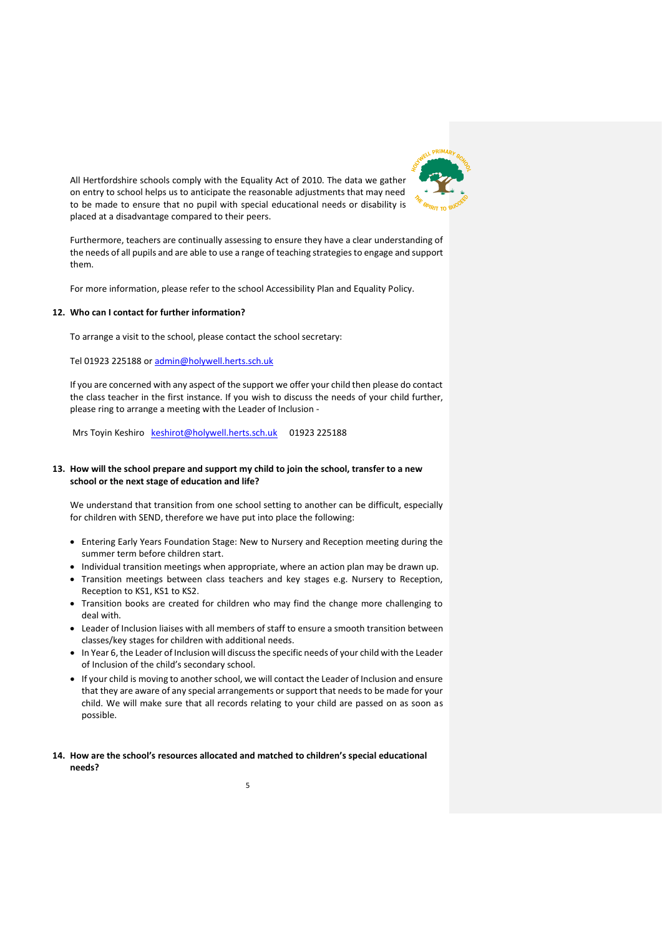

All Hertfordshire schools comply with the Equality Act of 2010. The data we gather on entry to school helps us to anticipate the reasonable adjustments that may need to be made to ensure that no pupil with special educational needs or disability is placed at a disadvantage compared to their peers.

Furthermore, teachers are continually assessing to ensure they have a clear understanding of the needs of all pupils and are able to use a range of teaching strategies to engage and support them.

For more information, please refer to the school Accessibility Plan and Equality Policy.

# **12. Who can I contact for further information?**

To arrange a visit to the school, please contact the school secretary:

Tel 01923 225188 or [admin@holywell.herts.sch.uk](mailto:admin@holywell.herts.sch.uk)

If you are concerned with any aspect of the support we offer your child then please do contact the class teacher in the first instance. If you wish to discuss the needs of your child further, please ring to arrange a meeting with the Leader of Inclusion -

Mrs Toyin Keshiro [keshirot@holywell.herts.sch.uk](mailto:keshirot@holywell.herts.sch.uk) 01923 225188

# **13. How will the school prepare and support my child to join the school, transfer to a new school or the next stage of education and life?**

We understand that transition from one school setting to another can be difficult, especially for children with SEND, therefore we have put into place the following:

- Entering Early Years Foundation Stage: New to Nursery and Reception meeting during the summer term before children start.
- Individual transition meetings when appropriate, where an action plan may be drawn up.
- Transition meetings between class teachers and key stages e.g. Nursery to Reception, Reception to KS1, KS1 to KS2.
- Transition books are created for children who may find the change more challenging to deal with.
- Leader of Inclusion liaises with all members of staff to ensure a smooth transition between classes/key stages for children with additional needs.
- In Year 6, the Leader of Inclusion will discuss the specific needs of your child with the Leader of Inclusion of the child's secondary school.
- If your child is moving to another school, we will contact the Leader of Inclusion and ensure that they are aware of any special arrangements or support that needs to be made for your child. We will make sure that all records relating to your child are passed on as soon as possible.

# **14. How are the school's resources allocated and matched to children's special educational needs?**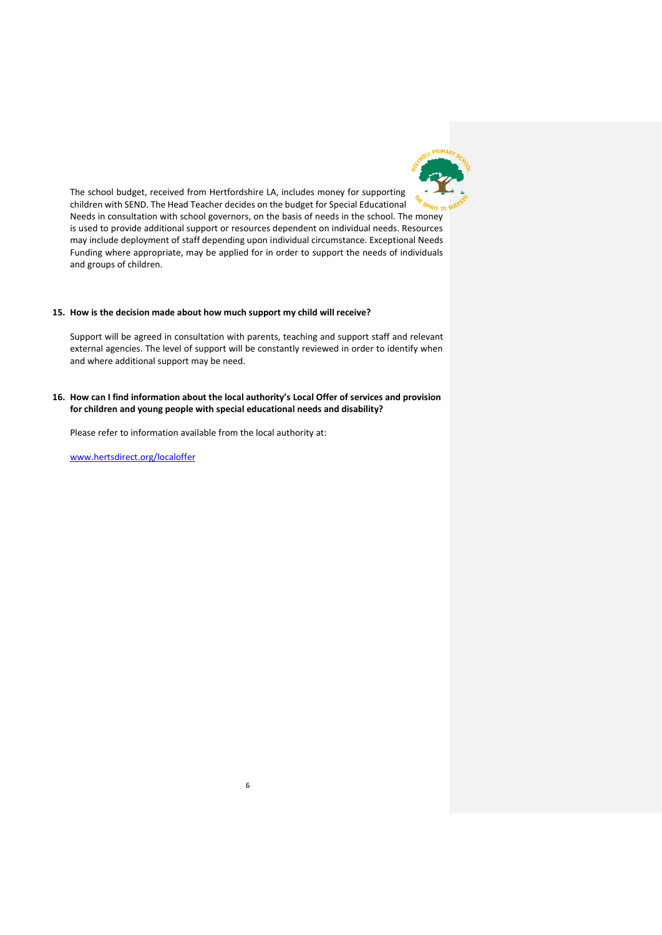

The school budget, received from Hertfordshire LA, includes money for supporting children with SEND. The Head Teacher decides on the budget for Special Educational Needs in consultation with school governors, on the basis of needs in the school. The money is used to provide additional support or resources dependent on individual needs. Resources may include deployment of staff depending upon individual circumstance. Exceptional Needs Funding where appropriate, may be applied for in order to support the needs of individuals and groups of children.

## **15. How is the decision made about how much support my child will receive?**

Support will be agreed in consultation with parents, teaching and support staff and relevant external agencies. The level of support will be constantly reviewed in order to identify when and where additional support may be need.

# **16. How can I find information about the local authority's Local Offer of services and provision for children and young people with special educational needs and disability?**

6

Please refer to information available from the local authority at:

[www.hertsdirect.org/localoffer](http://www.hertsdirect.org/localoffer)